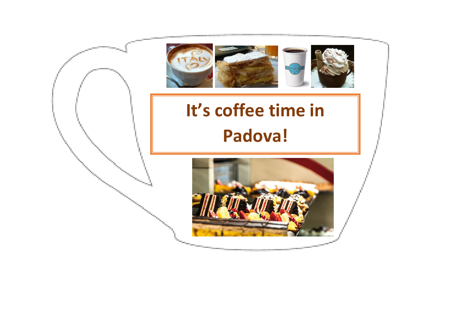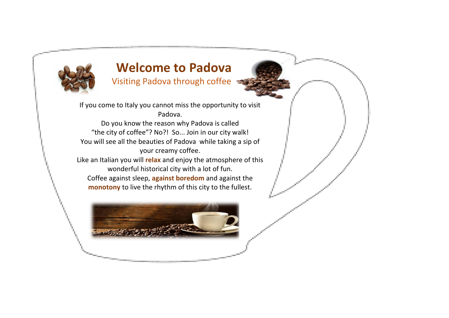

# **Welcome to Padova**

Visiting Padova through coffee

If you come to Italy you cannot miss the opportunity to visit Padova.

Do you know the reason why Padova is called "the city of coffee"? No?! So... Join in our city walk! You will see all the beauties of Padova while taking a sip of your creamy coffee.

Like an Italian you will **relax** and enjoy the atmosphere of this wonderful historical city with a lot of fun.

Coffee against sleep, **against boredom** and against the **monotony** to live the rhythm of this city to the fullest.

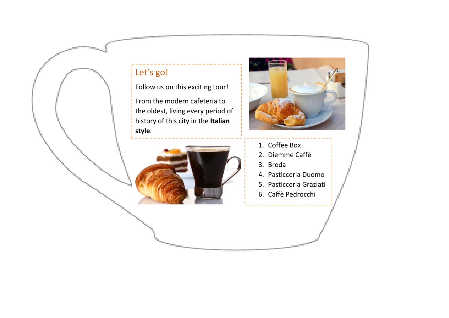# Let's go!

Follow us on this exciting tour!

From the modern cafeteria to the oldest, living every period of history of this city in the **Italian style**.



- 1. Coffee Box
- 2. Diemme Caffè
- 3. Breda
- 4. Pasticceria Duomo
- 5. Pasticceria Graziati 6. Caffè Pedrocchi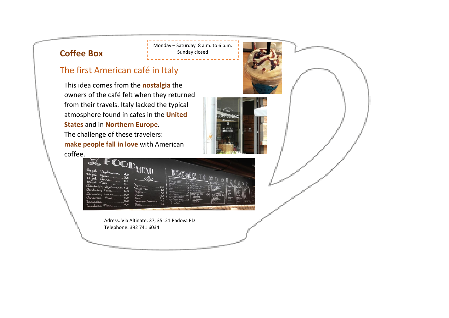# **Coffee Box**

#### The first American café in Italy

This idea comes from the **nostalgia** the owners of the café felt when they returned from their travels. Italy lacked the typical atmosphere found in cafes in the **United States** and in **Northern Europe**. The challenge of these travelers: **make people fall in love** with American coffee.





Monday – Saturday 8 a.m. to 6 p.m. Sunday closed

Adress: Via Altinate, 37, 35121 Padova PD Telephone: 392 741 6034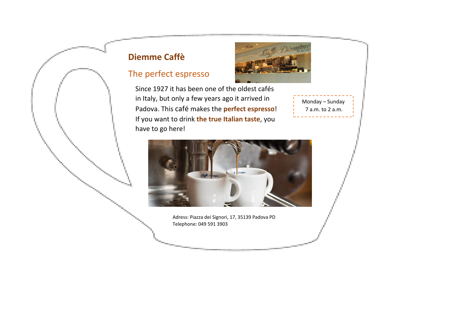# **Diemme Caffè**

### The perfect espresso



Since 1927 it has been one of the oldest cafés in Italy, but only a few years ago it arrived in Padova. This café makes the **perfect espresso**! If you want to drink **the true Italian taste**, you have to go here!

Monday – Sunday 7 a.m. to 2 a.m.



Adress: Piazza dei Signori, 17, 35139 Padova PD Telephone: 049 591 3903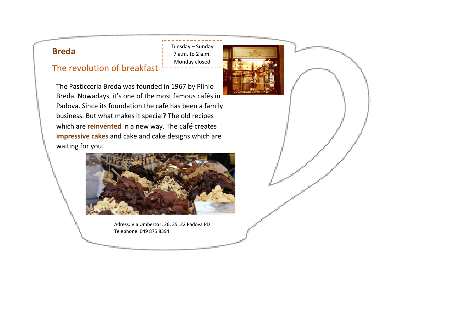# **Breda**

The revolution of breakfast

Tuesday – Sunday 7 a.m. to 2 a.m. Monday closed



The Pasticceria Breda was founded in 1967 by Plinio Breda. Nowadays it's one of the most famous cafés in Padova. Since its foundation the café has been a family business. But what makes it special? The old recipes which are **reinvented** in a new way. The café creates **impressive cakes** and cake and cake designs which are waiting for you.



Adress: Via Umberto I, 26, 35122 Padova PD Telephone: 049 875 8394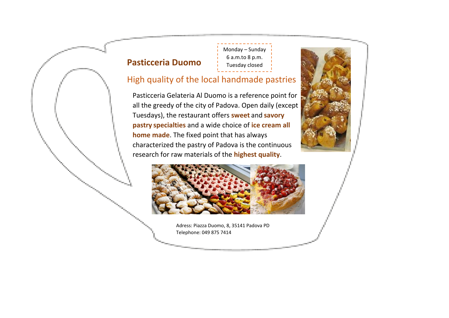### **Pasticceria Duomo**

Monday – Sunday 6 a.m.to 8 p.m. Tuesday closed

#### High quality of the local handmade pastries

Pasticceria Gelateria Al Duomo is a reference point for all the greedy of the city of Padova. Open daily (except Tuesdays), the restaurant offers **sweet** and **savory pastry specialties** and a wide choice of **ice cream all home made**. The fixed point that has always characterized the pastry of Padova is the continuous research for raw materials of the **highest quality**.



Adress: Piazza Duomo, 8, 35141 Padova PD Telephone: 049 875 7414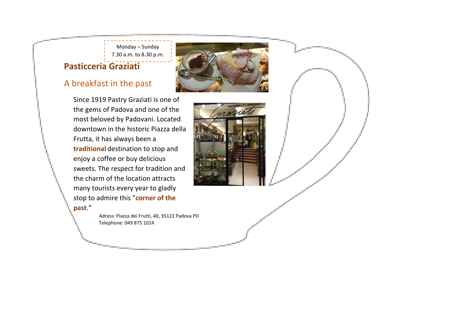Monday – Sunday 7.30 a.m. to 8.30 p.m.

#### **Pasticceria Graziati**

#### A breakfast in the past

Since 1919 Pastry Graziati is one of the gems of Padova and one of the most beloved by Padovani. Located downtown in the historic Piazza della Frutta, it has always been a **traditional** destination to stop and enjoy a coffee or buy delicious sweets. The respect for tradition and the charm of the location attracts many tourists every year to gladly stop to admire this "**corner of the past**."

> Adress: Piazza dei Frutti, 40, 35122 Padova PD Telephone: 049 875 1014



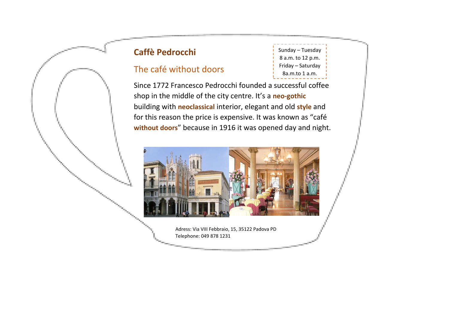# **Caffè Pedrocchi**

## The café without doors

Sunday – Tuesday 8 a.m. to 12 p.m. Friday – Saturday 8a.m.to 1 a.m.

Since 1772 Francesco Pedrocchi founded a successful coffee shop in the middle of the city centre. It's a **neo-gothic** building with **neoclassical** interior, elegant and old **style** and for this reason the price is expensive. It was known as "café **without doors**" because in 1916 it was opened day and night.



Adress: Via VIII Febbraio, 15, 35122 Padova PD Telephone: 049 878 1231